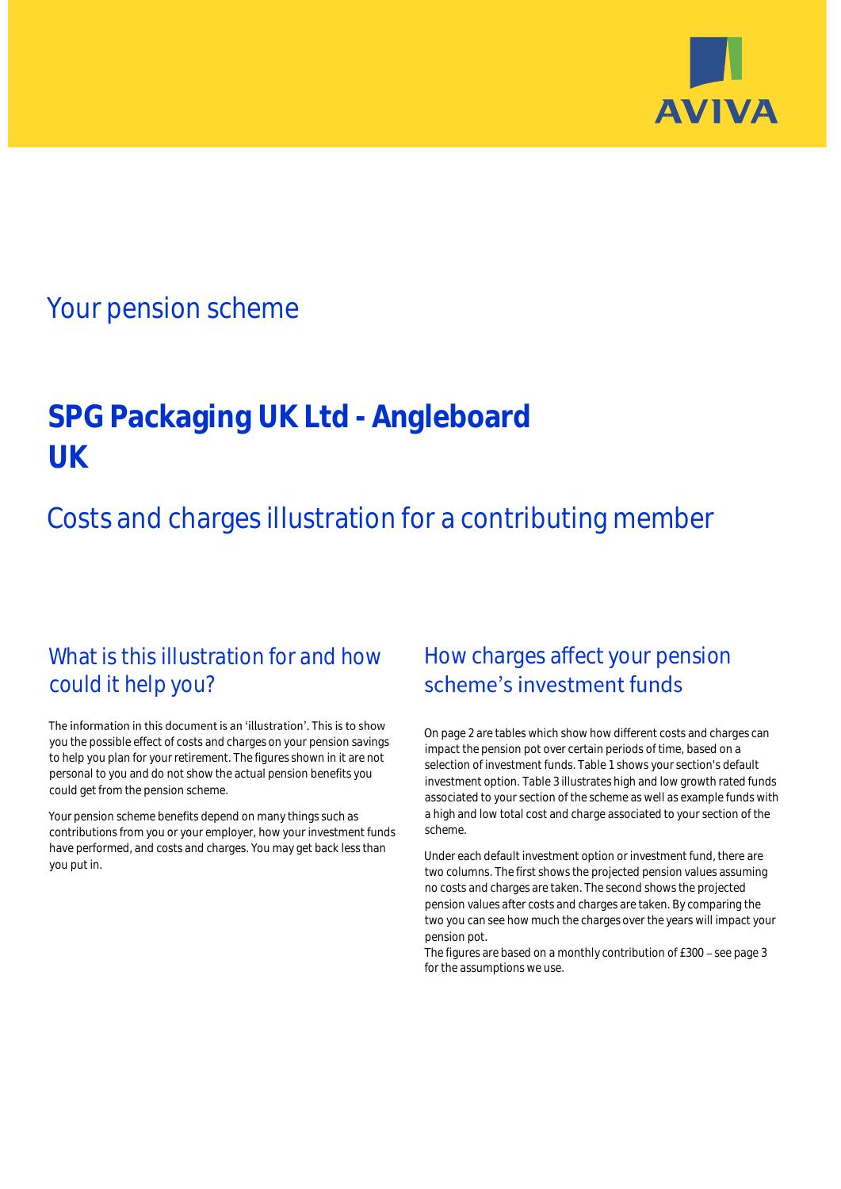

## Your pension scheme

# **SPG Packaging UK Ltd - Angleboard UK**

# Costs and charges illustration for a contributing member

### What is this illustration for and how could it help you?

#### The information in this document is an 'illustration'. This is to show you the possible effect of costs and charges on your pension savings to help you plan for your retirement. The figures shown in it are not personal to you and do not show the actual pension benefits you could get from the pension scheme.

Your pension scheme benefits depend on many things such as contributions from you or your employer, how your investment funds have performed, and costs and charges. You may get back less than you put in.

### How charges affect your pension scheme's investment funds

On page 2 are tables which show how different costs and charges can impact the pension pot over certain periods of time, based on a selection of investment funds. Table 1 shows your section's default investment option. Table 3 illustrates high and low growth rated funds associated to your section of the scheme as well as example funds with a high and low total cost and charge associated to your section of the scheme.

Under each default investment option or investment fund, there are two columns. The first shows the projected pension values assuming no costs and charges are taken. The second shows the projected pension values after costs and charges are taken. By comparing the two you can see how much the charges over the years will impact your pension pot.

The figures are based on a monthly contribution of  $£300 -$  see page 3 for the assumptions we use.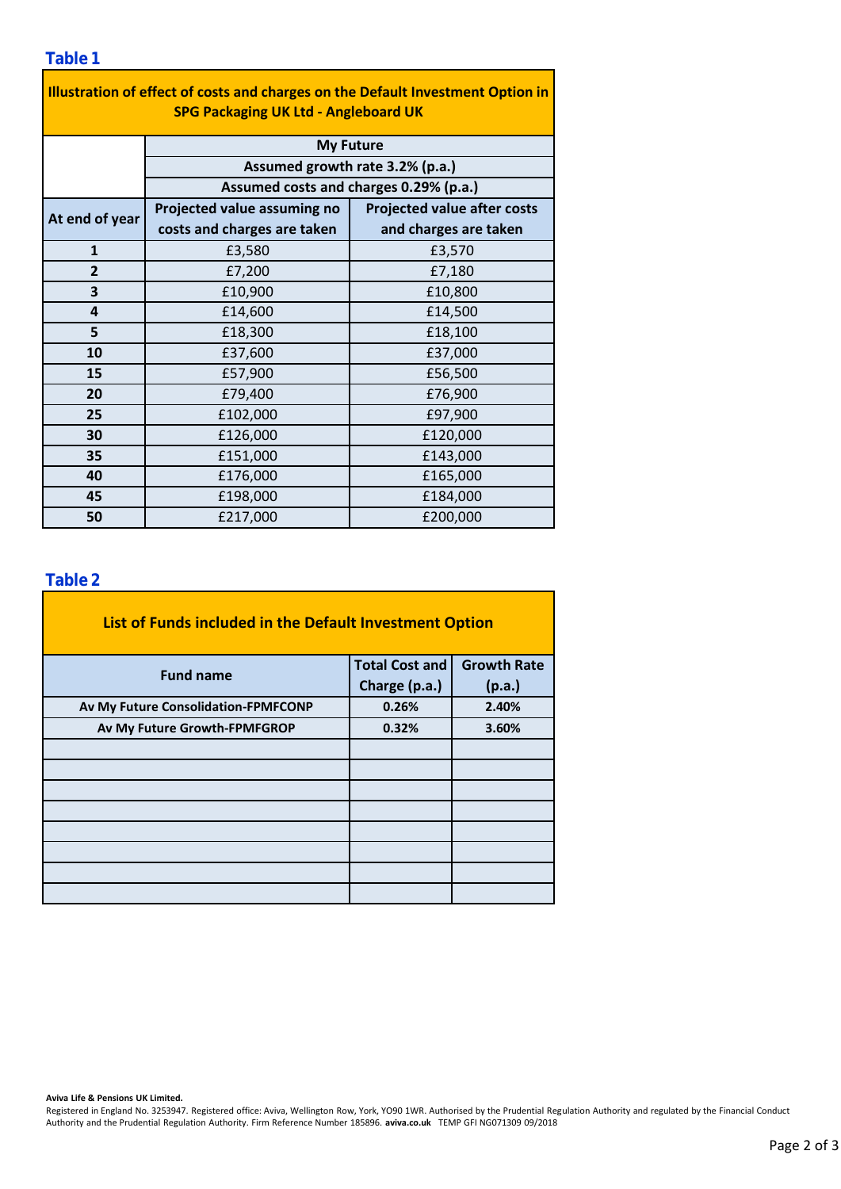| Illustration of effect of costs and charges on the Default Investment Option in<br><b>SPG Packaging UK Ltd - Angleboard UK</b> |                                        |                                    |  |  |  |  |  |  |  |
|--------------------------------------------------------------------------------------------------------------------------------|----------------------------------------|------------------------------------|--|--|--|--|--|--|--|
|                                                                                                                                | <b>My Future</b>                       |                                    |  |  |  |  |  |  |  |
|                                                                                                                                | Assumed growth rate 3.2% (p.a.)        |                                    |  |  |  |  |  |  |  |
|                                                                                                                                | Assumed costs and charges 0.29% (p.a.) |                                    |  |  |  |  |  |  |  |
| At end of year                                                                                                                 | Projected value assuming no            | <b>Projected value after costs</b> |  |  |  |  |  |  |  |
|                                                                                                                                | costs and charges are taken            | and charges are taken              |  |  |  |  |  |  |  |
| $\mathbf{1}$                                                                                                                   | £3,580                                 | £3,570                             |  |  |  |  |  |  |  |
| $\overline{2}$                                                                                                                 | £7,200                                 | £7,180                             |  |  |  |  |  |  |  |
| 3                                                                                                                              | £10,900                                | £10,800                            |  |  |  |  |  |  |  |
| 4                                                                                                                              | £14,600                                | £14,500                            |  |  |  |  |  |  |  |
| 5                                                                                                                              | £18,300                                | £18,100                            |  |  |  |  |  |  |  |
| 10                                                                                                                             | £37,600                                | £37,000                            |  |  |  |  |  |  |  |
| 15                                                                                                                             | £57,900                                | £56,500                            |  |  |  |  |  |  |  |
| 20                                                                                                                             | £79,400                                | £76,900                            |  |  |  |  |  |  |  |
| 25                                                                                                                             | £102,000                               | £97,900                            |  |  |  |  |  |  |  |
| 30                                                                                                                             | £126,000                               | £120,000                           |  |  |  |  |  |  |  |
| 35                                                                                                                             | £151,000                               | £143,000                           |  |  |  |  |  |  |  |
| 40                                                                                                                             | £176,000                               | £165,000                           |  |  |  |  |  |  |  |
| 45                                                                                                                             | £198,000                               | £184,000                           |  |  |  |  |  |  |  |
| 50                                                                                                                             | £217,000                               | £200,000                           |  |  |  |  |  |  |  |

÷,

### **Table 2**

| List of Funds included in the Default Investment Option |                       |                    |
|---------------------------------------------------------|-----------------------|--------------------|
| <b>Fund name</b>                                        | <b>Total Cost and</b> | <b>Growth Rate</b> |
|                                                         | Charge (p.a.)         | (p.a.)             |
| Av My Future Consolidation-FPMFCONP                     | 0.26%                 | 2.40%              |
| Av My Future Growth-FPMFGROP                            | 0.32%                 | 3.60%              |
|                                                         |                       |                    |
|                                                         |                       |                    |
|                                                         |                       |                    |
|                                                         |                       |                    |
|                                                         |                       |                    |
|                                                         |                       |                    |
|                                                         |                       |                    |
|                                                         |                       |                    |

#### **Aviva Life & Pensions UK Limited.**

Registered in England No. 3253947. Registered office: Aviva, Wellington Row, York, YO90 1WR. Authorised by the Prudential Regulation Authority and regulated by the Financial Conduct Authority and the Prudential Regulation Authority. Firm Reference Number 185896. **aviva.co.uk** TEMP GFI NG071309 09/2018